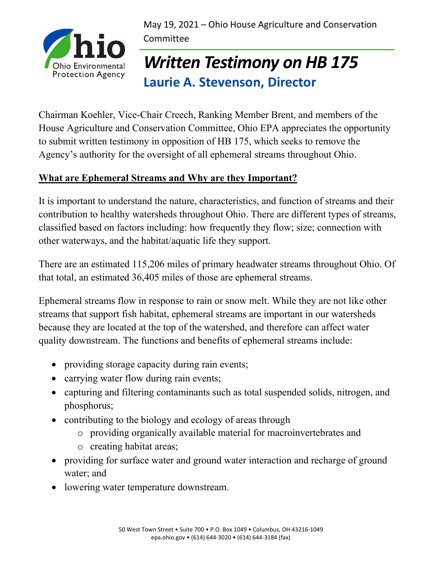May 19, 2021 – Ohio House Agriculture and Conservation Committee



# *Written Testimony on HB 175* **Laurie A. Stevenson, Director**

Chairman Koehler, Vice-Chair Creech, Ranking Member Brent, and members of the House Agriculture and Conservation Committee, Ohio EPA appreciates the opportunity to submit written testimony in opposition of HB 175, which seeks to remove the Agency's authority for the oversight of all ephemeral streams throughout Ohio.

## **What are Ephemeral Streams and Why are they Important?**

It is important to understand the nature, characteristics, and function of streams and their contribution to healthy watersheds throughout Ohio. There are different types of streams, classified based on factors including: how frequently they flow; size; connection with other waterways, and the habitat/aquatic life they support.

There are an estimated 115,206 miles of primary headwater streams throughout Ohio. Of that total, an estimated 36,405 miles of those are ephemeral streams.

Ephemeral streams flow in response to rain or snow melt. While they are not like other streams that support fish habitat, ephemeral streams are important in our watersheds because they are located at the top of the watershed, and therefore can affect water quality downstream. The functions and benefits of ephemeral streams include:

- providing storage capacity during rain events;
- carrying water flow during rain events;
- capturing and filtering contaminants such as total suspended solids, nitrogen, and phosphorus;
- contributing to the biology and ecology of areas through
	- o providing organically available material for macroinvertebrates and
	- o creating habitat areas;
- providing for surface water and ground water interaction and recharge of ground water; and
- lowering water temperature downstream.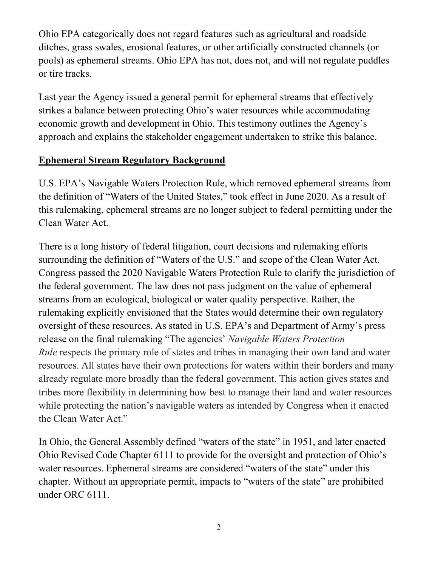Ohio EPA categorically does not regard features such as agricultural and roadside ditches, grass swales, erosional features, or other artificially constructed channels (or pools) as ephemeral streams. Ohio EPA has not, does not, and will not regulate puddles or tire tracks.

Last year the Agency issued a general permit for ephemeral streams that effectively strikes a balance between protecting Ohio's water resources while accommodating economic growth and development in Ohio. This testimony outlines the Agency's approach and explains the stakeholder engagement undertaken to strike this balance.

#### **Ephemeral Stream Regulatory Background**

U.S. EPA's Navigable Waters Protection Rule, which removed ephemeral streams from the definition of "Waters of the United States," took effect in June 2020. As a result of this rulemaking, ephemeral streams are no longer subject to federal permitting under the Clean Water Act.

There is a long history of federal litigation, court decisions and rulemaking efforts surrounding the definition of "Waters of the U.S." and scope of the Clean Water Act. Congress passed the 2020 Navigable Waters Protection Rule to clarify the jurisdiction of the federal government. The law does not pass judgment on the value of ephemeral streams from an ecological, biological or water quality perspective. Rather, the rulemaking explicitly envisioned that the States would determine their own regulatory oversight of these resources. As stated in U.S. EPA's and Department of Army's press release on the final rulemaking "The agencies' *Navigable Waters Protection Rule* respects the primary role of states and tribes in managing their own land and water resources. All states have their own protections for waters within their borders and many already regulate more broadly than the federal government. This action gives states and tribes more flexibility in determining how best to manage their land and water resources while protecting the nation's navigable waters as intended by Congress when it enacted the Clean Water Act."

In Ohio, the General Assembly defined "waters of the state" in 1951, and later enacted Ohio Revised Code Chapter 6111 to provide for the oversight and protection of Ohio's water resources. Ephemeral streams are considered "waters of the state" under this chapter. Without an appropriate permit, impacts to "waters of the state" are prohibited under ORC 6111.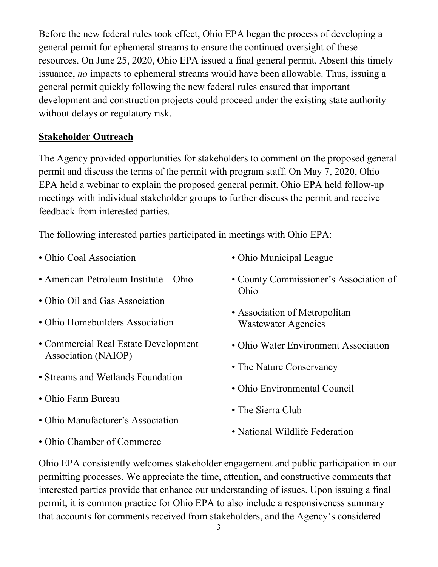Before the new federal rules took effect, Ohio EPA began the process of developing a general permit for ephemeral streams to ensure the continued oversight of these resources. On June 25, 2020, Ohio EPA issued a final general permit. Absent this timely issuance, *no* impacts to ephemeral streams would have been allowable. Thus, issuing a general permit quickly following the new federal rules ensured that important development and construction projects could proceed under the existing state authority without delays or regulatory risk.

### **Stakeholder Outreach**

The Agency provided opportunities for stakeholders to comment on the proposed general permit and discuss the terms of the permit with program staff. On May 7, 2020, Ohio EPA held a webinar to explain the proposed general permit. Ohio EPA held follow-up meetings with individual stakeholder groups to further discuss the permit and receive feedback from interested parties.

The following interested parties participated in meetings with Ohio EPA:

- Ohio Coal Association
- American Petroleum Institute Ohio
- Ohio Oil and Gas Association
- Ohio Homebuilders Association
- Commercial Real Estate Development Association (NAIOP)
- Streams and Wetlands Foundation
- Ohio Farm Bureau
- Ohio Manufacturer's Association
- Ohio Chamber of Commerce
- Ohio Municipal League
- County Commissioner's Association of Ohio
- Association of Metropolitan Wastewater Agencies
- Ohio Water Environment Association
- The Nature Conservancy
- Ohio Environmental Council
- The Sierra Club
- National Wildlife Federation

Ohio EPA consistently welcomes stakeholder engagement and public participation in our permitting processes. We appreciate the time, attention, and constructive comments that interested parties provide that enhance our understanding of issues. Upon issuing a final permit, it is common practice for Ohio EPA to also include a responsiveness summary that accounts for comments received from stakeholders, and the Agency's considered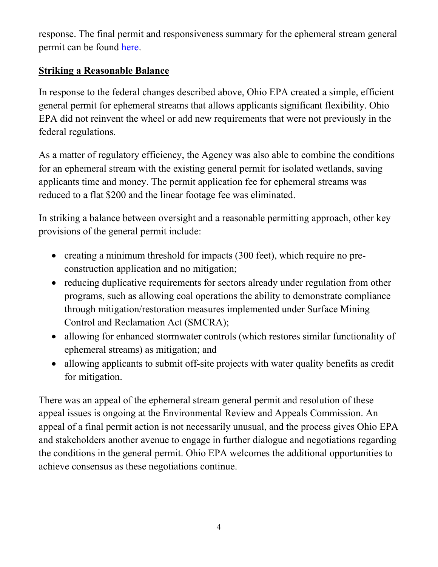response. The final permit and responsiveness summary for the ephemeral stream general permit can be found [here.](https://epa.ohio.gov/dsw/401/permitting#149525361-ephemeral-stream-permit)

### **Striking a Reasonable Balance**

In response to the federal changes described above, Ohio EPA created a simple, efficient general permit for ephemeral streams that allows applicants significant flexibility. Ohio EPA did not reinvent the wheel or add new requirements that were not previously in the federal regulations.

As a matter of regulatory efficiency, the Agency was also able to combine the conditions for an ephemeral stream with the existing general permit for isolated wetlands, saving applicants time and money. The permit application fee for ephemeral streams was reduced to a flat \$200 and the linear footage fee was eliminated.

In striking a balance between oversight and a reasonable permitting approach, other key provisions of the general permit include:

- creating a minimum threshold for impacts (300 feet), which require no preconstruction application and no mitigation;
- reducing duplicative requirements for sectors already under regulation from other programs, such as allowing coal operations the ability to demonstrate compliance through mitigation/restoration measures implemented under Surface Mining Control and Reclamation Act (SMCRA);
- allowing for enhanced stormwater controls (which restores similar functionality of ephemeral streams) as mitigation; and
- allowing applicants to submit off-site projects with water quality benefits as credit for mitigation.

There was an appeal of the ephemeral stream general permit and resolution of these appeal issues is ongoing at the Environmental Review and Appeals Commission. An appeal of a final permit action is not necessarily unusual, and the process gives Ohio EPA and stakeholders another avenue to engage in further dialogue and negotiations regarding the conditions in the general permit. Ohio EPA welcomes the additional opportunities to achieve consensus as these negotiations continue.